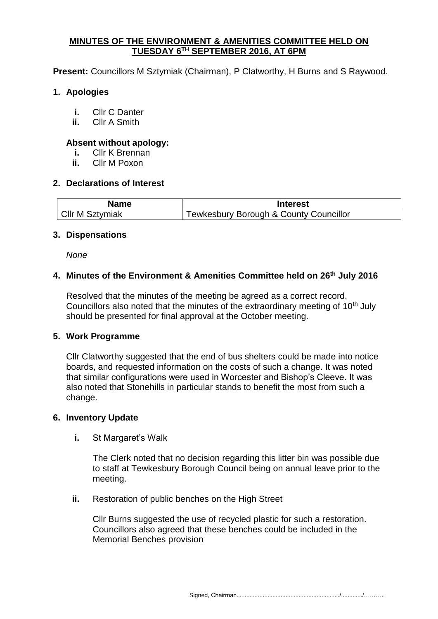### **MINUTES OF THE ENVIRONMENT & AMENITIES COMMITTEE HELD ON TUESDAY 6 TH SEPTEMBER 2016, AT 6PM**

**Present:** Councillors M Sztymiak (Chairman), P Clatworthy, H Burns and S Raywood.

## **1. Apologies**

- **i.** Cllr C Danter
- **ii.** Cllr A Smith

### **Absent without apology:**

- **i.** Cllr K Brennan
- **ii.** Cllr M Poxon

### **2. Declarations of Interest**

| <b>Name</b>            | <b>Interest</b>                                   |
|------------------------|---------------------------------------------------|
| <b>CIIr M Sztymiak</b> | <b>Tewkesbury Borough &amp; County Councillor</b> |

### **3. Dispensations**

*None*

## **4. Minutes of the Environment & Amenities Committee held on 26th July 2016**

Resolved that the minutes of the meeting be agreed as a correct record. Councillors also noted that the minutes of the extraordinary meeting of  $10<sup>th</sup>$  July should be presented for final approval at the October meeting.

### **5. Work Programme**

Cllr Clatworthy suggested that the end of bus shelters could be made into notice boards, and requested information on the costs of such a change. It was noted that similar configurations were used in Worcester and Bishop's Cleeve. It was also noted that Stonehills in particular stands to benefit the most from such a change.

### **6. Inventory Update**

**i.** St Margaret's Walk

The Clerk noted that no decision regarding this litter bin was possible due to staff at Tewkesbury Borough Council being on annual leave prior to the meeting.

**ii.** Restoration of public benches on the High Street

Cllr Burns suggested the use of recycled plastic for such a restoration. Councillors also agreed that these benches could be included in the Memorial Benches provision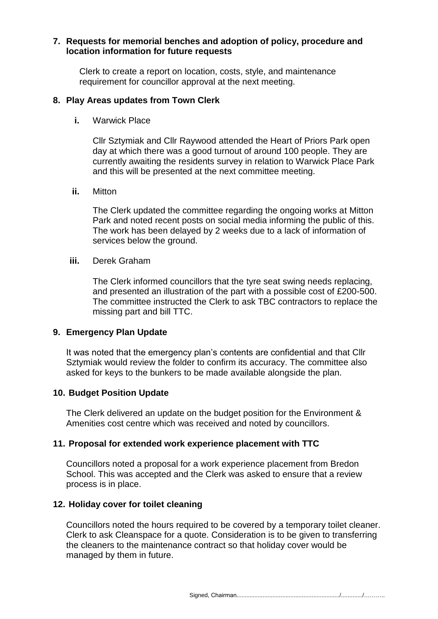### **7. Requests for memorial benches and adoption of policy, procedure and location information for future requests**

Clerk to create a report on location, costs, style, and maintenance requirement for councillor approval at the next meeting.

# **8. Play Areas updates from Town Clerk**

**i.** Warwick Place

Cllr Sztymiak and Cllr Raywood attended the Heart of Priors Park open day at which there was a good turnout of around 100 people. They are currently awaiting the residents survey in relation to Warwick Place Park and this will be presented at the next committee meeting.

**ii.** Mitton

The Clerk updated the committee regarding the ongoing works at Mitton Park and noted recent posts on social media informing the public of this. The work has been delayed by 2 weeks due to a lack of information of services below the ground.

#### **iii.** Derek Graham

The Clerk informed councillors that the tyre seat swing needs replacing, and presented an illustration of the part with a possible cost of £200-500. The committee instructed the Clerk to ask TBC contractors to replace the missing part and bill TTC.

### **9. Emergency Plan Update**

It was noted that the emergency plan's contents are confidential and that Cllr Sztymiak would review the folder to confirm its accuracy. The committee also asked for keys to the bunkers to be made available alongside the plan.

### **10. Budget Position Update**

The Clerk delivered an update on the budget position for the Environment & Amenities cost centre which was received and noted by councillors.

### **11. Proposal for extended work experience placement with TTC**

Councillors noted a proposal for a work experience placement from Bredon School. This was accepted and the Clerk was asked to ensure that a review process is in place.

### **12. Holiday cover for toilet cleaning**

Councillors noted the hours required to be covered by a temporary toilet cleaner. Clerk to ask Cleanspace for a quote. Consideration is to be given to transferring the cleaners to the maintenance contract so that holiday cover would be managed by them in future.